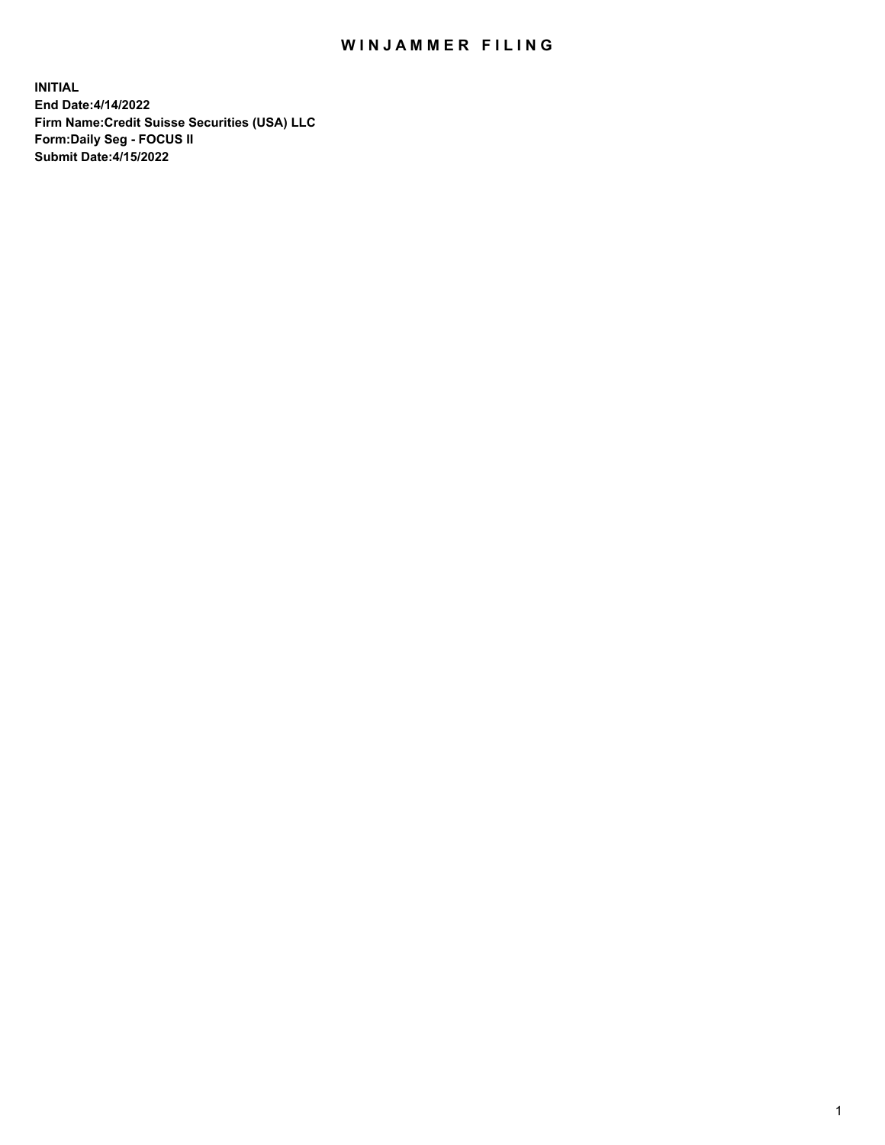# WIN JAMMER FILING

**INITIAL End Date:4/14/2022 Firm Name:Credit Suisse Securities (USA) LLC Form:Daily Seg - FOCUS II Submit Date:4/15/2022**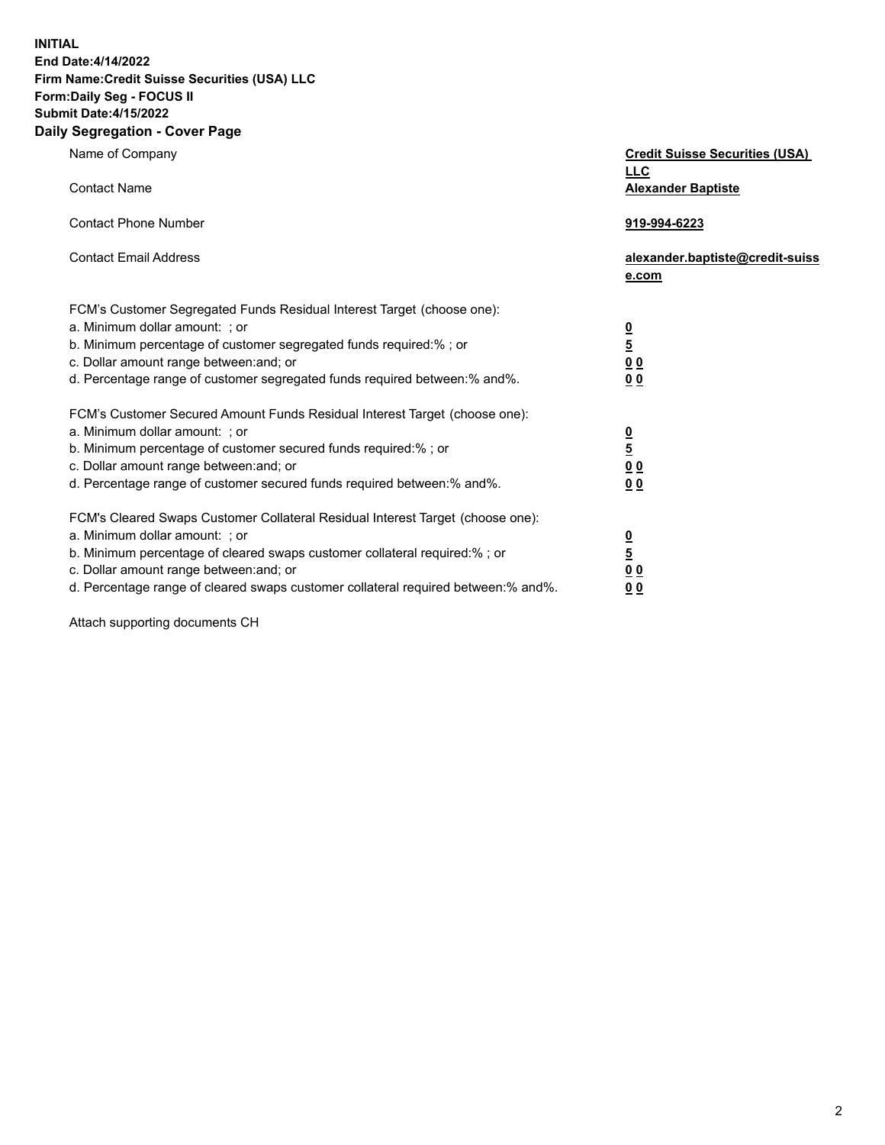**INITIAL End Date:4/14/2022** 

## **Firm Name:Credit Suisse Securities (USA) LLC Form:Daily Seg - FOCUS II Submit Date:4/15/2022**

#### **Daily Segregation - Cover Page**

| Name of Company                                                                                                                                                                                                                                                                                                                | <b>Credit Suisse Securities (USA)</b><br><b>LLC</b>                |
|--------------------------------------------------------------------------------------------------------------------------------------------------------------------------------------------------------------------------------------------------------------------------------------------------------------------------------|--------------------------------------------------------------------|
| <b>Contact Name</b>                                                                                                                                                                                                                                                                                                            | <b>Alexander Baptiste</b>                                          |
| <b>Contact Phone Number</b>                                                                                                                                                                                                                                                                                                    | 919-994-6223                                                       |
| <b>Contact Email Address</b>                                                                                                                                                                                                                                                                                                   | alexander.baptiste@credit-suiss<br>e.com                           |
| FCM's Customer Segregated Funds Residual Interest Target (choose one):<br>a. Minimum dollar amount: ; or<br>b. Minimum percentage of customer segregated funds required:% ; or<br>c. Dollar amount range between: and; or<br>d. Percentage range of customer segregated funds required between:% and%.                         | $\frac{0}{5}$<br>0 <sub>0</sub><br>0 <sub>0</sub>                  |
| FCM's Customer Secured Amount Funds Residual Interest Target (choose one):<br>a. Minimum dollar amount: ; or<br>b. Minimum percentage of customer secured funds required:%; or<br>c. Dollar amount range between: and; or<br>d. Percentage range of customer secured funds required between: % and %.                          | $\frac{0}{5}$<br>$\underline{0} \underline{0}$<br>0 <sub>0</sub>   |
| FCM's Cleared Swaps Customer Collateral Residual Interest Target (choose one):<br>a. Minimum dollar amount: ; or<br>b. Minimum percentage of cleared swaps customer collateral required:% ; or<br>c. Dollar amount range between: and; or<br>d. Percentage range of cleared swaps customer collateral required between:% and%. | $\frac{0}{5}$<br>$\underline{0}$ $\underline{0}$<br>0 <sub>0</sub> |

Attach supporting documents CH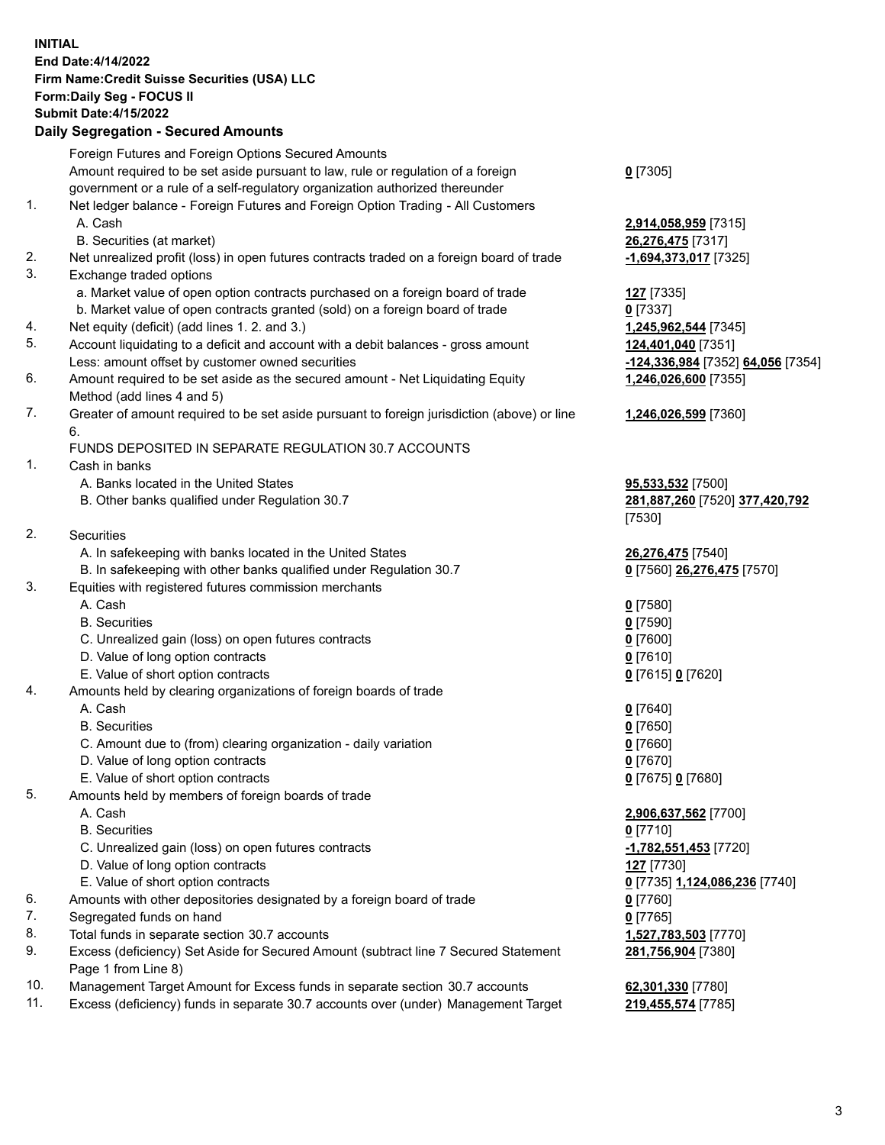#### **INITIAL End Date:4/14/2022 Firm Name:Credit Suisse Securities (USA) LLC Form:Daily Seg - FOCUS II Submit Date:4/15/2022**

### **Daily Segregation - Secured Amounts**

|     | Foreign Futures and Foreign Options Secured Amounts                                                        |                                   |
|-----|------------------------------------------------------------------------------------------------------------|-----------------------------------|
|     | Amount required to be set aside pursuant to law, rule or regulation of a foreign                           | $0$ [7305]                        |
|     | government or a rule of a self-regulatory organization authorized thereunder                               |                                   |
| 1.  | Net ledger balance - Foreign Futures and Foreign Option Trading - All Customers                            |                                   |
|     | A. Cash                                                                                                    | 2,914,058,959 [7315]              |
|     | B. Securities (at market)                                                                                  | 26,276,475 [7317]                 |
| 2.  | Net unrealized profit (loss) in open futures contracts traded on a foreign board of trade                  | -1,694,373,017 [7325]             |
| 3.  | Exchange traded options                                                                                    |                                   |
|     | a. Market value of open option contracts purchased on a foreign board of trade                             | <b>127</b> [7335]                 |
|     | b. Market value of open contracts granted (sold) on a foreign board of trade                               | $0$ [7337]                        |
| 4.  | Net equity (deficit) (add lines 1. 2. and 3.)                                                              | 1,245,962,544 [7345]              |
| 5.  | Account liquidating to a deficit and account with a debit balances - gross amount                          | 124,401,040 [7351]                |
|     | Less: amount offset by customer owned securities                                                           | -124,336,984 [7352] 64,056 [7354] |
| 6.  | Amount required to be set aside as the secured amount - Net Liquidating Equity                             | 1,246,026,600 [7355]              |
|     | Method (add lines 4 and 5)                                                                                 |                                   |
| 7.  | Greater of amount required to be set aside pursuant to foreign jurisdiction (above) or line                | 1,246,026,599 [7360]              |
|     | 6.                                                                                                         |                                   |
|     | FUNDS DEPOSITED IN SEPARATE REGULATION 30.7 ACCOUNTS                                                       |                                   |
| 1.  | Cash in banks                                                                                              |                                   |
|     | A. Banks located in the United States                                                                      | 95,533,532 [7500]                 |
|     | B. Other banks qualified under Regulation 30.7                                                             | 281,887,260 [7520] 377,420,792    |
|     |                                                                                                            | [7530]                            |
| 2.  | Securities                                                                                                 |                                   |
|     | A. In safekeeping with banks located in the United States                                                  | 26,276,475 [7540]                 |
|     | B. In safekeeping with other banks qualified under Regulation 30.7                                         | 0 [7560] 26,276,475 [7570]        |
| 3.  | Equities with registered futures commission merchants                                                      |                                   |
|     | A. Cash                                                                                                    | $0$ [7580]                        |
|     | <b>B.</b> Securities                                                                                       | $0$ [7590]                        |
|     | C. Unrealized gain (loss) on open futures contracts                                                        | $0$ [7600]                        |
|     | D. Value of long option contracts                                                                          | $0$ [7610]                        |
|     | E. Value of short option contracts                                                                         | 0 [7615] 0 [7620]                 |
| 4.  | Amounts held by clearing organizations of foreign boards of trade                                          |                                   |
|     | A. Cash                                                                                                    | $0$ [7640]                        |
|     | <b>B.</b> Securities                                                                                       | $0$ [7650]                        |
|     | C. Amount due to (from) clearing organization - daily variation                                            | $0$ [7660]                        |
|     | D. Value of long option contracts                                                                          | $0$ [7670]                        |
|     | E. Value of short option contracts                                                                         | 0 [7675] 0 [7680]                 |
| 5.  | Amounts held by members of foreign boards of trade                                                         |                                   |
|     | A. Cash                                                                                                    | 2,906,637,562 [7700]              |
|     | <b>B.</b> Securities                                                                                       | $0$ [7710]                        |
|     | C. Unrealized gain (loss) on open futures contracts                                                        | $-1,782,551,453$ [7720]           |
|     | D. Value of long option contracts                                                                          | 127 [7730]                        |
|     | E. Value of short option contracts                                                                         | 0 [7735] 1,124,086,236 [7740]     |
| 6.  | Amounts with other depositories designated by a foreign board of trade                                     | 0 [7760]                          |
| 7.  | Segregated funds on hand                                                                                   | $0$ [7765]                        |
| 8.  | Total funds in separate section 30.7 accounts                                                              | 1,527,783,503 [7770]              |
| 9.  | Excess (deficiency) Set Aside for Secured Amount (subtract line 7 Secured Statement<br>Page 1 from Line 8) | 281,756,904 [7380]                |
| 10. | Management Target Amount for Excess funds in separate section 30.7 accounts                                | 62,301,330 [7780]                 |

11. Excess (deficiency) funds in separate 30.7 accounts over (under) Management Target **219,455,574** [7785]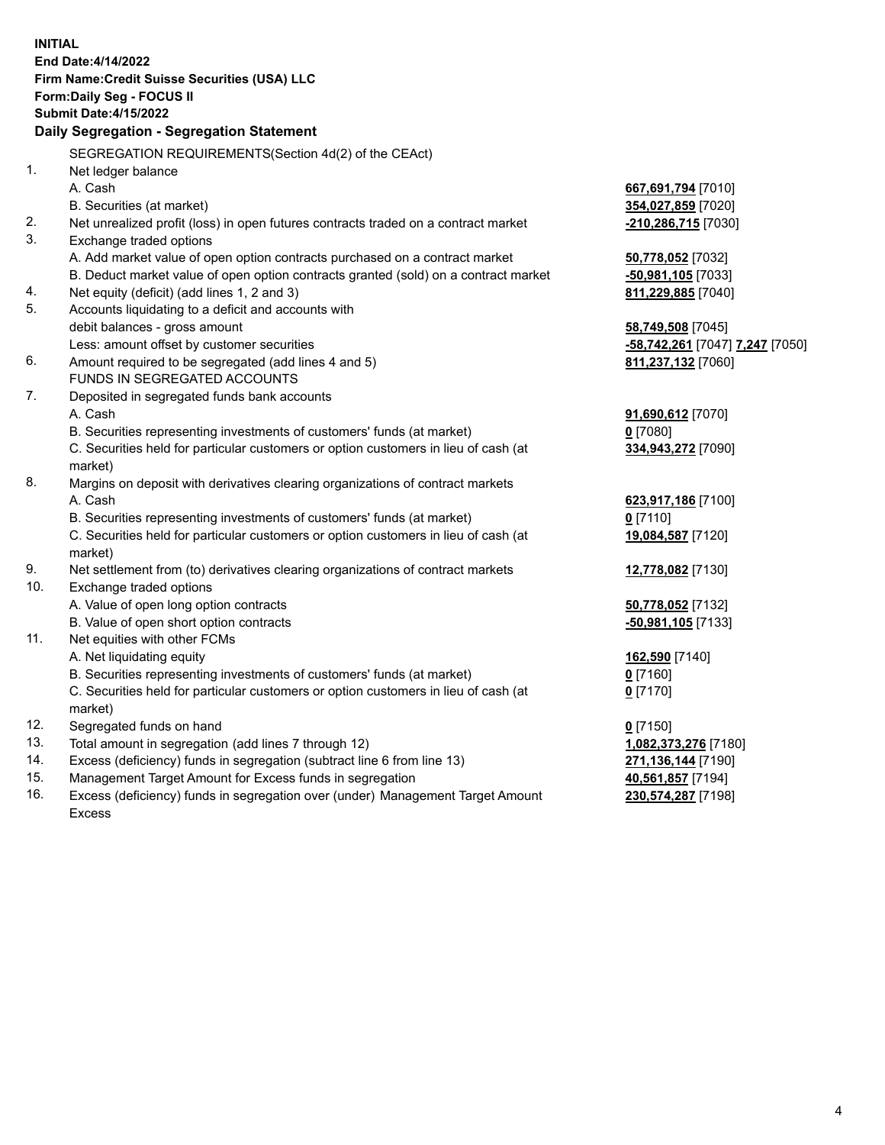|           | <b>INITIAL</b><br>End Date: 4/14/2022<br>Firm Name: Credit Suisse Securities (USA) LLC<br>Form: Daily Seg - FOCUS II<br><b>Submit Date: 4/15/2022</b><br>Daily Segregation - Segregation Statement |                                              |
|-----------|----------------------------------------------------------------------------------------------------------------------------------------------------------------------------------------------------|----------------------------------------------|
|           | SEGREGATION REQUIREMENTS(Section 4d(2) of the CEAct)                                                                                                                                               |                                              |
| 1.        | Net ledger balance                                                                                                                                                                                 |                                              |
|           | A. Cash                                                                                                                                                                                            | 667,691,794 [7010]                           |
|           | B. Securities (at market)                                                                                                                                                                          | 354,027,859 [7020]                           |
| 2.        | Net unrealized profit (loss) in open futures contracts traded on a contract market                                                                                                                 | -210,286,715 [7030]                          |
| 3.        | Exchange traded options                                                                                                                                                                            |                                              |
|           | A. Add market value of open option contracts purchased on a contract market                                                                                                                        | 50,778,052 [7032]                            |
|           | B. Deduct market value of open option contracts granted (sold) on a contract market                                                                                                                | -50,981,105 [7033]                           |
| 4.        | Net equity (deficit) (add lines 1, 2 and 3)                                                                                                                                                        | 811,229,885 [7040]                           |
| 5.        | Accounts liquidating to a deficit and accounts with                                                                                                                                                |                                              |
|           | debit balances - gross amount                                                                                                                                                                      | 58,749,508 [7045]                            |
|           | Less: amount offset by customer securities                                                                                                                                                         | <mark>-58,742,261</mark> [7047] 7,247 [7050] |
| 6.        | Amount required to be segregated (add lines 4 and 5)                                                                                                                                               | 811,237,132 [7060]                           |
|           | FUNDS IN SEGREGATED ACCOUNTS                                                                                                                                                                       |                                              |
| 7.        | Deposited in segregated funds bank accounts                                                                                                                                                        |                                              |
|           | A. Cash                                                                                                                                                                                            | 91,690,612 [7070]                            |
|           | B. Securities representing investments of customers' funds (at market)                                                                                                                             | $0$ [7080]                                   |
|           | C. Securities held for particular customers or option customers in lieu of cash (at                                                                                                                | 334,943,272 [7090]                           |
|           | market)                                                                                                                                                                                            |                                              |
| 8.        | Margins on deposit with derivatives clearing organizations of contract markets                                                                                                                     |                                              |
|           | A. Cash                                                                                                                                                                                            | 623,917,186 [7100]                           |
|           | B. Securities representing investments of customers' funds (at market)                                                                                                                             | $0$ [7110]                                   |
|           | C. Securities held for particular customers or option customers in lieu of cash (at                                                                                                                | 19,084,587 [7120]                            |
|           | market)                                                                                                                                                                                            |                                              |
| 9.<br>10. | Net settlement from (to) derivatives clearing organizations of contract markets                                                                                                                    | 12,778,082 [7130]                            |
|           | Exchange traded options<br>A. Value of open long option contracts                                                                                                                                  |                                              |
|           | B. Value of open short option contracts                                                                                                                                                            | 50,778,052 [7132]<br>-50,981,105 [7133]      |
| 11.       | Net equities with other FCMs                                                                                                                                                                       |                                              |
|           | A. Net liquidating equity                                                                                                                                                                          | 162,590 [7140]                               |
|           | B. Securities representing investments of customers' funds (at market)                                                                                                                             | $0$ [7160]                                   |
|           | C. Securities held for particular customers or option customers in lieu of cash (at                                                                                                                | $0$ [7170]                                   |
|           | market)                                                                                                                                                                                            |                                              |
| 12.       | Segregated funds on hand                                                                                                                                                                           | $0$ [7150]                                   |
| 13.       | Total amount in segregation (add lines 7 through 12)                                                                                                                                               | 1,082,373,276 [7180]                         |
| 14.       | Excess (deficiency) funds in segregation (subtract line 6 from line 13)                                                                                                                            | 271,136,144 [7190]                           |
| 15.       | Management Target Amount for Excess funds in segregation                                                                                                                                           | 40,561,857 [7194]                            |
| 16.       | Excess (deficiency) funds in segregation over (under) Management Target Amount                                                                                                                     | 230,574,287 [7198]                           |
|           | <b>Excess</b>                                                                                                                                                                                      |                                              |